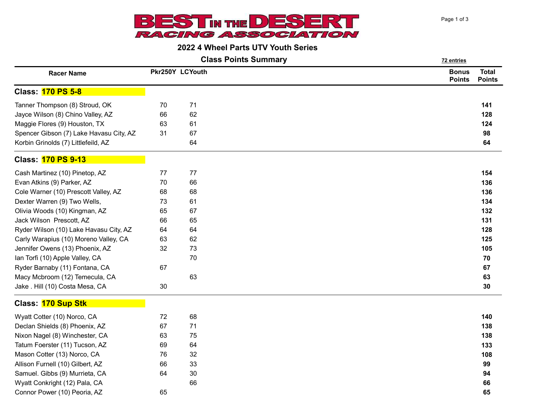

## 2022 4 Wheel Parts UTV Youth Series

Class Points Summary **22 entries** 72 entries

| <b>Racer Name</b>                       |    | Pkr250Y LCYouth | <b>Bonus</b><br><b>Points</b> | <b>Total</b><br><b>Points</b> |
|-----------------------------------------|----|-----------------|-------------------------------|-------------------------------|
| <b>Class: 170 PS 5-8</b>                |    |                 |                               |                               |
| Tanner Thompson (8) Stroud, OK          | 70 | 71              |                               | 141                           |
| Jayce Wilson (8) Chino Valley, AZ       | 66 | 62              |                               | 128                           |
| Maggie Flores (9) Houston, TX           | 63 | 61              |                               | 124                           |
| Spencer Gibson (7) Lake Havasu City, AZ | 31 | 67              |                               | 98                            |
| Korbin Grinolds (7) Littlefeild, AZ     |    | 64              |                               | 64                            |
| <b>Class: 170 PS 9-13</b>               |    |                 |                               |                               |
| Cash Martinez (10) Pinetop, AZ          | 77 | 77              |                               | 154                           |
| Evan Atkins (9) Parker, AZ              | 70 | 66              |                               | 136                           |
| Cole Warner (10) Prescott Valley, AZ    | 68 | 68              |                               | 136                           |
| Dexter Warren (9) Two Wells,            | 73 | 61              |                               | 134                           |
| Olivia Woods (10) Kingman, AZ           | 65 | 67              |                               | 132                           |
| Jack Wilson Prescott, AZ                | 66 | 65              |                               | 131                           |
| Ryder Wilson (10) Lake Havasu City, AZ  | 64 | 64              |                               | 128                           |
| Carly Warapius (10) Moreno Valley, CA   | 63 | 62              |                               | 125                           |
| Jennifer Owens (13) Phoenix, AZ         | 32 | 73              |                               | 105                           |
| Ian Torfi (10) Apple Valley, CA         |    | 70              |                               | 70                            |
| Ryder Barnaby (11) Fontana, CA          | 67 |                 |                               | 67                            |
| Macy Mcbroom (12) Temecula, CA          |    | 63              |                               | 63                            |
| Jake . Hill (10) Costa Mesa, CA         | 30 |                 |                               | 30                            |
| Class: 170 Sup Stk                      |    |                 |                               |                               |
| Wyatt Cotter (10) Norco, CA             | 72 | 68              |                               | 140                           |
| Declan Shields (8) Phoenix, AZ          | 67 | 71              |                               | 138                           |
| Nixon Nagel (8) Winchester, CA          | 63 | 75              |                               | 138                           |
| Tatum Foerster (11) Tucson, AZ          | 69 | 64              |                               | 133                           |
| Mason Cotter (13) Norco, CA             | 76 | 32              |                               | 108                           |
| Allison Furnell (10) Gilbert, AZ        | 66 | 33              |                               | 99                            |
| Samuel. Gibbs (9) Murrieta, CA          | 64 | 30              |                               | 94                            |
| Wyatt Conkright (12) Pala, CA           |    | 66              |                               | 66                            |
| Connor Power (10) Peoria, AZ            | 65 |                 |                               | 65                            |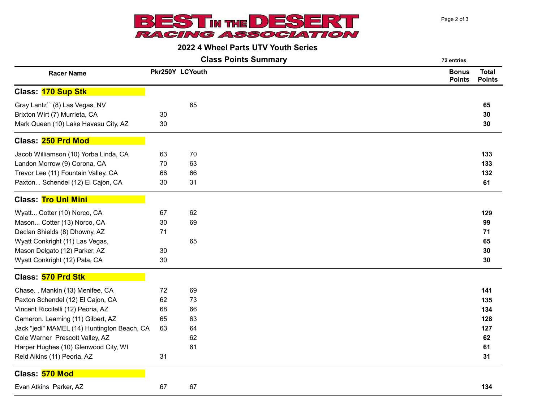

## 2022 4 Wheel Parts UTV Youth Series

**Class Points Summary** 72 entries

| <b>Racer Name</b>                           | Pkr250Y LCYouth |    | <b>Bonus</b><br><b>Points</b> | <b>Total</b><br><b>Points</b> |
|---------------------------------------------|-----------------|----|-------------------------------|-------------------------------|
| Class: 170 Sup Stk                          |                 |    |                               |                               |
| Gray Lantz" (8) Las Vegas, NV               |                 | 65 |                               | 65                            |
| Brixton Wirt (7) Murrieta, CA               | 30              |    |                               | 30                            |
| Mark Queen (10) Lake Havasu City, AZ        | 30              |    |                               | 30                            |
| Class: 250 Prd Mod                          |                 |    |                               |                               |
| Jacob Williamson (10) Yorba Linda, CA       | 63              | 70 |                               | 133                           |
| Landon Morrow (9) Corona, CA                | 70              | 63 |                               | 133                           |
| Trevor Lee (11) Fountain Valley, CA         | 66              | 66 |                               | 132                           |
| Paxton. . Schendel (12) El Cajon, CA        | 30              | 31 |                               | 61                            |
| <b>Class: Tro Unl Mini</b>                  |                 |    |                               |                               |
| Wyatt Cotter (10) Norco, CA                 | 67              | 62 |                               | 129                           |
| Mason Cotter (13) Norco, CA                 | 30              | 69 |                               | 99                            |
| Declan Shields (8) Dhowny, AZ               | 71              |    |                               | 71                            |
| Wyatt Conkright (11) Las Vegas,             |                 | 65 |                               | 65                            |
| Mason Delgato (12) Parker, AZ               | 30              |    |                               | 30                            |
| Wyatt Conkright (12) Pala, CA               | 30              |    |                               | 30                            |
| Class: 570 Prd Stk                          |                 |    |                               |                               |
| Chase. . Mankin (13) Menifee, CA            | 72              | 69 |                               | 141                           |
| Paxton Schendel (12) El Cajon, CA           | 62              | 73 |                               | 135                           |
| Vincent Riccitelli (12) Peoria, AZ          | 68              | 66 |                               | 134                           |
| Cameron. Leaming (11) Gilbert, AZ           | 65              | 63 |                               | 128                           |
| Jack "jedi" MAMEL (14) Huntington Beach, CA | 63              | 64 |                               | 127                           |
| Cole Warner Prescott Valley, AZ             |                 | 62 |                               | 62                            |
| Harper Hughes (10) Glenwood City, WI        |                 | 61 |                               | 61                            |
| Reid Aikins (11) Peoria, AZ                 | 31              |    |                               | 31                            |
| Class: 570 Mod                              |                 |    |                               |                               |
| Evan Atkins Parker, AZ                      | 67              | 67 |                               | 134                           |